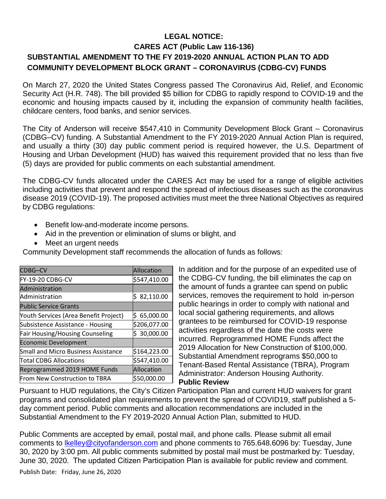## **LEGAL NOTICE: CARES ACT (Public Law 116-136) SUBSTANTIAL AMENDMENT TO THE FY 2019-2020 ANNUAL ACTION PLAN TO ADD COMMUNITY DEVELOPMENT BLOCK GRANT – CORONAVIRUS (CDBG-CV) FUNDS**

On March 27, 2020 the United States Congress passed The Coronavirus Aid, Relief, and Economic Security Act (H.R. 748). The bill provided \$5 billion for CDBG to rapidly respond to COVID-19 and the economic and housing impacts caused by it, including the expansion of community health facilities, childcare centers, food banks, and senior services.

The City of Anderson will receive \$547,410 in Community Development Block Grant – Coronavirus (CDBG–CV) funding. A Substantial Amendment to the FY 2019-2020 Annual Action Plan is required, and usually a thirty (30) day public comment period is required however, the U.S. Department of Housing and Urban Development (HUD) has waived this requirement provided that no less than five (5) days are provided for public comments on each substantial amendment.

The CDBG-CV funds allocated under the CARES Act may be used for a range of eligible activities including activities that prevent and respond the spread of infectious diseases such as the coronavirus disease 2019 (COVID-19). The proposed activities must meet the three National Objectives as required by CDBG regulations:

- Benefit low-and-moderate income persons.
- Aid in the prevention or elimination of slums or blight, and
- Meet an urgent needs

Community Development staff recommends the allocation of funds as follows:

| CDBG-CV                                    | Allocation      |
|--------------------------------------------|-----------------|
| FY-19-20 CDBG-CV                           | \$547,410.00    |
| Administration                             |                 |
| Administration                             | Ś.<br>82,110.00 |
| <b>Public Service Grants</b>               |                 |
| Youth Services (Area Benefit Project)      | 65,000.00<br>Ś  |
| Subsistence Assistance - Housing           | \$206,077.00    |
| <b>Fair Housing/Housing Counseling</b>     | 30,000.00       |
| <b>Economic Development</b>                |                 |
| <b>Small and Micro Business Assistance</b> | \$164,223.00    |
| <b>Total CDBG Allocations</b>              | \$547,410.00    |
| Reprogrammed 2019 HOME Funds               | Allocation      |
| From New Construction to TBRA              | \$50,000.00     |

In addition and for the purpose of an expedited use of the CDBG-CV funding, the bill eliminates the cap on the amount of funds a grantee can spend on public services, removes the requirement to hold in-person public hearings in order to comply with national and local social gathering requirements, and allows grantees to be reimbursed for COVID-19 response activities regardless of the date the costs were incurred. Reprogrammed HOME Funds affect the 2019 Allocation for New Construction of \$100,000. Substantial Amendment reprograms \$50,000 to Tenant-Based Rental Assistance (TBRA), Program Administrator: Anderson Housing Authority. **Public Review**

Pursuant to HUD regulations, the City's Citizen Participation Plan and current HUD waivers for grant programs and consolidated plan requirements to prevent the spread of COVID19, staff published a 5 day comment period. Public comments and allocation recommendations are included in the Substantial Amendment to the FY 2019-2020 Annual Action Plan, submitted to HUD.

Public Comments are accepted by email, postal mail, and phone calls. Please submit all email comments to **kelley@cityofanderson.com** and phone comments to 765.648.6096 by: Tuesday, June 30, 2020 by 3:00 pm. All public comments submitted by postal mail must be postmarked by: Tuesday, June 30, 2020. The updated Citizen Participation Plan is available for public review and comment.